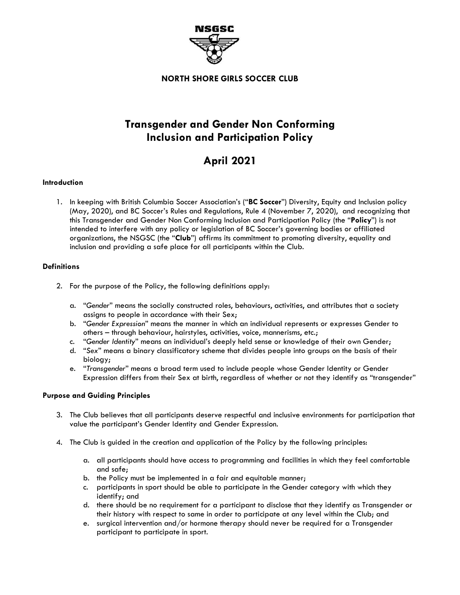

**NORTH SHORE GIRLS SOCCER CLUB**

# **Transgender and Gender Non Conforming Inclusion and Participation Policy**

# **April 2021**

### **Introduction**

1. In keeping with British Columbia Soccer Association's ("**BC Soccer**") Diversity, Equity and Inclusion policy (May, 2020), and BC Soccer's Rules and Regulations, Rule 4 (November 7, 2020), and recognizing that this Transgender and Gender Non Conforming Inclusion and Participation Policy (the "**Policy**") is not intended to interfere with any policy or legislation of BC Soccer's governing bodies or affiliated organizations, the NSGSC (the "**Club**") affirms its commitment to promoting diversity, equality and inclusion and providing a safe place for all participants within the Club.

## **Definitions**

- 2. For the purpose of the Policy, the following definitions apply:
	- a. "*Gender*" means the socially constructed roles, behaviours, activities, and attributes that a society assigns to people in accordance with their Sex;
	- b. "*Gender Expression*" means the manner in which an individual represents or expresses Gender to others – through behaviour, hairstyles, activities, voice, mannerisms, etc.;
	- c. "*Gender Identity*" means an individual's deeply held sense or knowledge of their own Gender;
	- d. "*Sex*" means a binary classificatory scheme that divides people into groups on the basis of their biology;
	- e. "*Transgender*" means a broad term used to include people whose Gender Identity or Gender Expression differs from their Sex at birth, regardless of whether or not they identify as "transgender"

### **Purpose and Guiding Principles**

- 3. The Club believes that all participants deserve respectful and inclusive environments for participation that value the participant's Gender Identity and Gender Expression.
- 4. The Club is guided in the creation and application of the Policy by the following principles:
	- a. all participants should have access to programming and facilities in which they feel comfortable and safe;
	- b. the Policy must be implemented in a fair and equitable manner;
	- c. participants in sport should be able to participate in the Gender category with which they identify; and
	- d. there should be no requirement for a participant to disclose that they identify as Transgender or their history with respect to same in order to participate at any level within the Club; and
	- e. surgical intervention and/or hormone therapy should never be required for a Transgender participant to participate in sport.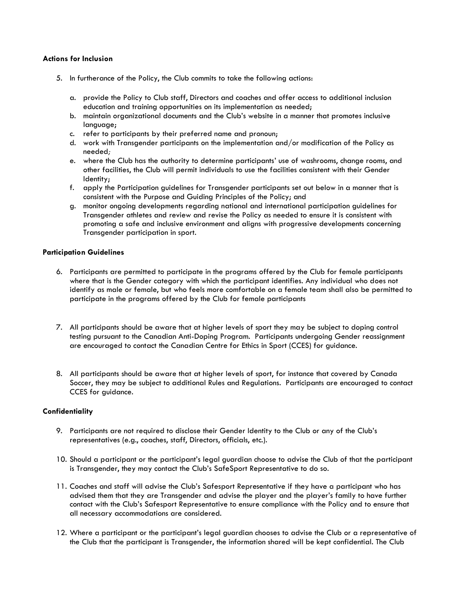#### **Actions for Inclusion**

- 5. In furtherance of the Policy, the Club commits to take the following actions:
	- a. provide the Policy to Club staff, Directors and coaches and offer access to additional inclusion education and training opportunities on its implementation as needed;
	- b. maintain organizational documents and the Club's website in a manner that promotes inclusive language;
	- c. refer to participants by their preferred name and pronoun;
	- d. work with Transgender participants on the implementation and/or modification of the Policy as needed*;*
	- e. where the Club has the authority to determine participants' use of washrooms, change rooms, and other facilities, the Club will permit individuals to use the facilities consistent with their Gender Identity;
	- f. apply the Participation guidelines for Transgender participants set out below in a manner that is consistent with the Purpose and Guiding Principles of the Policy; and
	- g. monitor ongoing developments regarding national and international participation guidelines for Transgender athletes and review and revise the Policy as needed to ensure it is consistent with promoting a safe and inclusive environment and aligns with progressive developments concerning Transgender participation in sport.

#### **Participation Guidelines**

- 6. Participants are permitted to participate in the programs offered by the Club for female participants where that is the Gender category with which the participant identifies. Any individual who does not identify as male or female, but who feels more comfortable on a female team shall also be permitted to participate in the programs offered by the Club for female participants
- 7. All participants should be aware that at higher levels of sport they may be subject to doping control testing pursuant to the Canadian Anti-Doping Program. Participants undergoing Gender reassignment are encouraged to contact the Canadian Centre for Ethics in Sport (CCES) for guidance.
- 8. All participants should be aware that at higher levels of sport, for instance that covered by Canada Soccer, they may be subject to additional Rules and Regulations. Participants are encouraged to contact CCES for guidance.

#### **Confidentiality**

- 9. Participants are not required to disclose their Gender Identity to the Club or any of the Club's representatives (e.g., coaches, staff, Directors, officials, etc.).
- 10. Should a participant or the participant's legal guardian choose to advise the Club of that the participant is Transgender, they may contact the Club's SafeSport Representative to do so.
- 11. Coaches and staff will advise the Club's Safesport Representative if they have a participant who has advised them that they are Transgender and advise the player and the player's family to have further contact with the Club's Safesport Representative to ensure compliance with the Policy and to ensure that all necessary accommodations are considered.
- 12. Where a participant or the participant's legal guardian chooses to advise the Club or a representative of the Club that the participant is Transgender, the information shared will be kept confidential. The Club